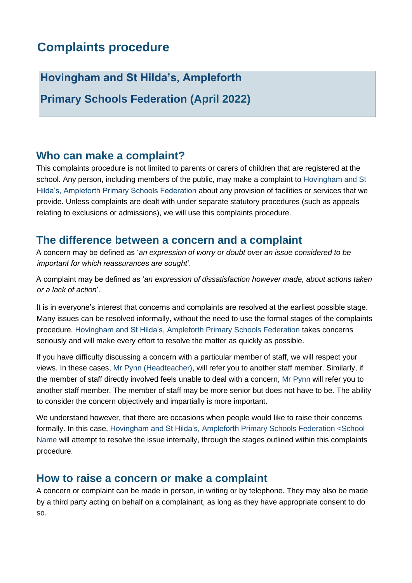# **Complaints procedure**

**Hovingham and St Hilda's, Ampleforth** 

**Primary Schools Federation (April 2022)**

### **Who can make a complaint?**

This complaints procedure is not limited to parents or carers of children that are registered at the school. Any person, including members of the public, may make a complaint to Hovingham and St Hilda's, Ampleforth Primary Schools Federation about any provision of facilities or services that we provide. Unless complaints are dealt with under separate statutory procedures (such as appeals relating to exclusions or admissions), we will use this complaints procedure.

### **The difference between a concern and a complaint**

A concern may be defined as '*an expression of worry or doubt over an issue considered to be important for which reassurances are sought'*.

A complaint may be defined as '*an expression of dissatisfaction however made, about actions taken or a lack of action*'.

It is in everyone's interest that concerns and complaints are resolved at the earliest possible stage. Many issues can be resolved informally, without the need to use the formal stages of the complaints procedure. Hovingham and St Hilda's, Ampleforth Primary Schools Federation takes concerns seriously and will make every effort to resolve the matter as quickly as possible.

If you have difficulty discussing a concern with a particular member of staff, we will respect your views. In these cases, Mr Pynn (Headteacher), will refer you to another staff member. Similarly, if the member of staff directly involved feels unable to deal with a concern, Mr Pynn will refer you to another staff member. The member of staff may be more senior but does not have to be. The ability to consider the concern objectively and impartially is more important.

We understand however, that there are occasions when people would like to raise their concerns formally. In this case, Hovingham and St Hilda's, Ampleforth Primary Schools Federation <School Name will attempt to resolve the issue internally, through the stages outlined within this complaints procedure.

#### **How to raise a concern or make a complaint**

A concern or complaint can be made in person, in writing or by telephone. They may also be made by a third party acting on behalf on a complainant, as long as they have appropriate consent to do so.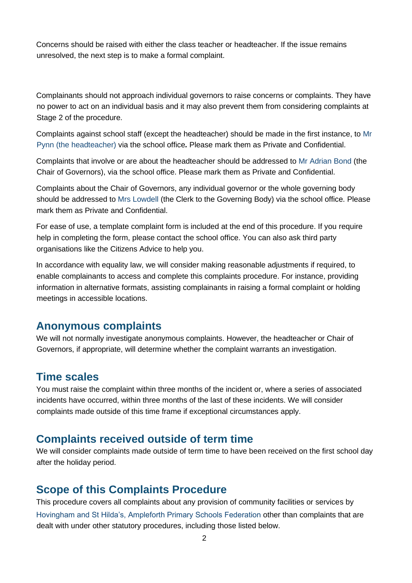Concerns should be raised with either the class teacher or headteacher. If the issue remains unresolved, the next step is to make a formal complaint.

Complainants should not approach individual governors to raise concerns or complaints. They have no power to act on an individual basis and it may also prevent them from considering complaints at Stage 2 of the procedure.

Complaints against school staff (except the headteacher) should be made in the first instance, to Mr Pynn (the headteacher) via the school office*.* Please mark them as Private and Confidential.

Complaints that involve or are about the headteacher should be addressed to Mr Adrian Bond (the Chair of Governors), via the school office. Please mark them as Private and Confidential.

Complaints about the Chair of Governors, any individual governor or the whole governing body should be addressed to Mrs Lowdell (the Clerk to the Governing Body) via the school office. Please mark them as Private and Confidential.

For ease of use, a template complaint form is included at the end of this procedure. If you require help in completing the form, please contact the school office. You can also ask third party organisations like the Citizens Advice to help you.

In accordance with equality law, we will consider making reasonable adjustments if required, to enable complainants to access and complete this complaints procedure. For instance, providing information in alternative formats, assisting complainants in raising a formal complaint or holding meetings in accessible locations.

#### **Anonymous complaints**

We will not normally investigate anonymous complaints. However, the headteacher or Chair of Governors, if appropriate, will determine whether the complaint warrants an investigation.

## **Time scales**

You must raise the complaint within three months of the incident or, where a series of associated incidents have occurred, within three months of the last of these incidents. We will consider complaints made outside of this time frame if exceptional circumstances apply.

#### **Complaints received outside of term time**

We will consider complaints made outside of term time to have been received on the first school day after the holiday period.

# **Scope of this Complaints Procedure**

This procedure covers all complaints about any provision of community facilities or services by Hovingham and St Hilda's, Ampleforth Primary Schools Federation other than complaints that are dealt with under other statutory procedures, including those listed below.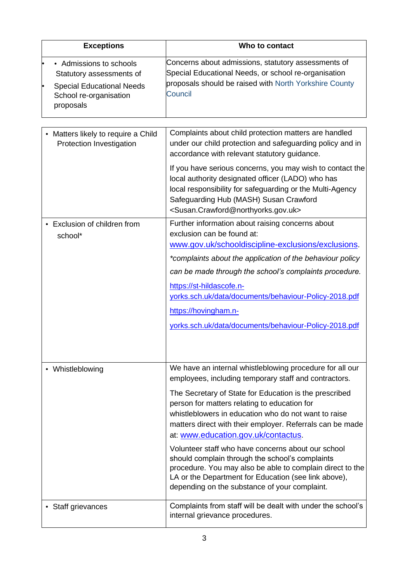| <b>Exceptions</b>                                                                                                              | Who to contact                                                                                                                                                                                                                                                                                                                                                                                                                                                                                                                                                                                                                                                         |
|--------------------------------------------------------------------------------------------------------------------------------|------------------------------------------------------------------------------------------------------------------------------------------------------------------------------------------------------------------------------------------------------------------------------------------------------------------------------------------------------------------------------------------------------------------------------------------------------------------------------------------------------------------------------------------------------------------------------------------------------------------------------------------------------------------------|
| • Admissions to schools<br>Statutory assessments of<br><b>Special Educational Needs</b><br>School re-organisation<br>proposals | Concerns about admissions, statutory assessments of<br>Special Educational Needs, or school re-organisation<br>proposals should be raised with North Yorkshire County<br>Council                                                                                                                                                                                                                                                                                                                                                                                                                                                                                       |
| Matters likely to require a Child<br>Protection Investigation                                                                  | Complaints about child protection matters are handled<br>under our child protection and safeguarding policy and in<br>accordance with relevant statutory guidance.<br>If you have serious concerns, you may wish to contact the<br>local authority designated officer (LADO) who has<br>local responsibility for safeguarding or the Multi-Agency                                                                                                                                                                                                                                                                                                                      |
|                                                                                                                                | Safeguarding Hub (MASH) Susan Crawford<br><susan.crawford@northyorks.gov.uk></susan.crawford@northyorks.gov.uk>                                                                                                                                                                                                                                                                                                                                                                                                                                                                                                                                                        |
| Exclusion of children from<br>school*                                                                                          | Further information about raising concerns about<br>exclusion can be found at:<br>www.gov.uk/schooldiscipline-exclusions/exclusions.<br>*complaints about the application of the behaviour policy<br>can be made through the school's complaints procedure.<br>https://st-hildascofe.n-<br>yorks.sch.uk/data/documents/behaviour-Policy-2018.pdf<br>https://hovingham.n-<br>yorks.sch.uk/data/documents/behaviour-Policy-2018.pdf                                                                                                                                                                                                                                      |
| • Whistleblowing                                                                                                               | We have an internal whistleblowing procedure for all our<br>employees, including temporary staff and contractors.<br>The Secretary of State for Education is the prescribed<br>person for matters relating to education for<br>whistleblowers in education who do not want to raise<br>matters direct with their employer. Referrals can be made<br>at: www.education.gov.uk/contactus.<br>Volunteer staff who have concerns about our school<br>should complain through the school's complaints<br>procedure. You may also be able to complain direct to the<br>LA or the Department for Education (see link above),<br>depending on the substance of your complaint. |
| • Staff grievances                                                                                                             | Complaints from staff will be dealt with under the school's<br>internal grievance procedures.                                                                                                                                                                                                                                                                                                                                                                                                                                                                                                                                                                          |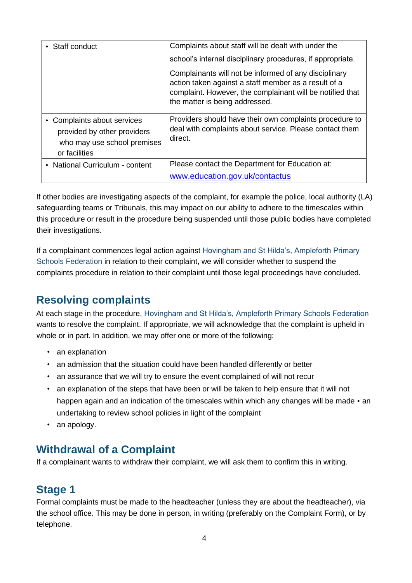| • Staff conduct                                                                                            | Complaints about staff will be dealt with under the                                                                                                                                                          |
|------------------------------------------------------------------------------------------------------------|--------------------------------------------------------------------------------------------------------------------------------------------------------------------------------------------------------------|
|                                                                                                            | school's internal disciplinary procedures, if appropriate.                                                                                                                                                   |
|                                                                                                            | Complainants will not be informed of any disciplinary<br>action taken against a staff member as a result of a<br>complaint. However, the complainant will be notified that<br>the matter is being addressed. |
| • Complaints about services<br>provided by other providers<br>who may use school premises<br>or facilities | Providers should have their own complaints procedure to<br>deal with complaints about service. Please contact them<br>direct.                                                                                |
| • National Curriculum - content                                                                            | Please contact the Department for Education at:                                                                                                                                                              |
|                                                                                                            | www.education.gov.uk/contactus                                                                                                                                                                               |

If other bodies are investigating aspects of the complaint, for example the police, local authority (LA) safeguarding teams or Tribunals, this may impact on our ability to adhere to the timescales within this procedure or result in the procedure being suspended until those public bodies have completed their investigations.

If a complainant commences legal action against Hovingham and St Hilda's, Ampleforth Primary Schools Federation in relation to their complaint, we will consider whether to suspend the complaints procedure in relation to their complaint until those legal proceedings have concluded.

# **Resolving complaints**

At each stage in the procedure, Hovingham and St Hilda's, Ampleforth Primary Schools Federation wants to resolve the complaint. If appropriate, we will acknowledge that the complaint is upheld in whole or in part. In addition, we may offer one or more of the following:

- an explanation
- an admission that the situation could have been handled differently or better
- an assurance that we will try to ensure the event complained of will not recur
- an explanation of the steps that have been or will be taken to help ensure that it will not happen again and an indication of the timescales within which any changes will be made • an undertaking to review school policies in light of the complaint
- an apology.

# **Withdrawal of a Complaint**

If a complainant wants to withdraw their complaint, we will ask them to confirm this in writing.

# **Stage 1**

Formal complaints must be made to the headteacher (unless they are about the headteacher), via the school office. This may be done in person, in writing (preferably on the Complaint Form), or by telephone.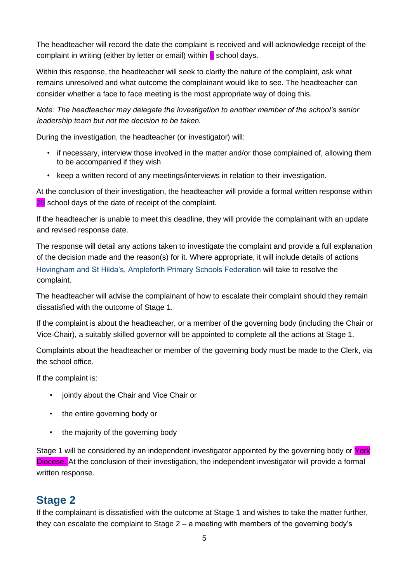The headteacher will record the date the complaint is received and will acknowledge receipt of the complaint in writing (either by letter or email) within **5** school days.

Within this response, the headteacher will seek to clarify the nature of the complaint, ask what remains unresolved and what outcome the complainant would like to see. The headteacher can consider whether a face to face meeting is the most appropriate way of doing this.

*Note: The headteacher may delegate the investigation to another member of the school's senior leadership team but not the decision to be taken.* 

During the investigation, the headteacher (or investigator) will:

- if necessary, interview those involved in the matter and/or those complained of, allowing them to be accompanied if they wish
- keep a written record of any meetings/interviews in relation to their investigation.

At the conclusion of their investigation, the headteacher will provide a formal written response within 20 school days of the date of receipt of the complaint.

If the headteacher is unable to meet this deadline, they will provide the complainant with an update and revised response date.

The response will detail any actions taken to investigate the complaint and provide a full explanation of the decision made and the reason(s) for it. Where appropriate, it will include details of actions Hovingham and St Hilda's, Ampleforth Primary Schools Federation will take to resolve the complaint.

The headteacher will advise the complainant of how to escalate their complaint should they remain dissatisfied with the outcome of Stage 1.

If the complaint is about the headteacher, or a member of the governing body (including the Chair or Vice-Chair), a suitably skilled governor will be appointed to complete all the actions at Stage 1.

Complaints about the headteacher or member of the governing body must be made to the Clerk, via the school office.

If the complaint is:

- jointly about the Chair and Vice Chair or
- the entire governing body or
- the majority of the governing body

Stage 1 will be considered by an independent investigator appointed by the governing body or York Diocese. At the conclusion of their investigation, the independent investigator will provide a formal written response.

## **Stage 2**

If the complainant is dissatisfied with the outcome at Stage 1 and wishes to take the matter further, they can escalate the complaint to Stage 2 – a meeting with members of the governing body's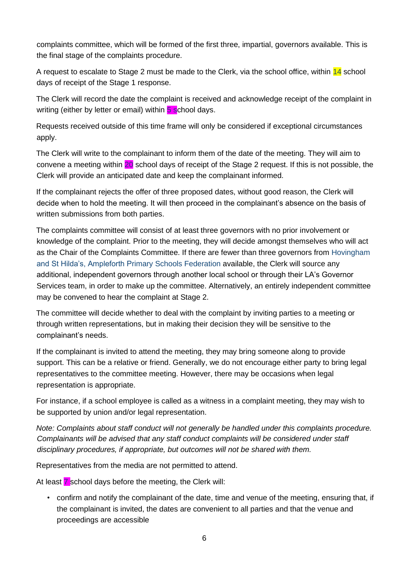complaints committee, which will be formed of the first three, impartial, governors available. This is the final stage of the complaints procedure.

A request to escalate to Stage 2 must be made to the Clerk, via the school office, within 14 school days of receipt of the Stage 1 response.

The Clerk will record the date the complaint is received and acknowledge receipt of the complaint in writing (either by letter or email) within 5 school days.

Requests received outside of this time frame will only be considered if exceptional circumstances apply.

The Clerk will write to the complainant to inform them of the date of the meeting. They will aim to convene a meeting within 20 school days of receipt of the Stage 2 request. If this is not possible, the Clerk will provide an anticipated date and keep the complainant informed.

If the complainant rejects the offer of three proposed dates, without good reason, the Clerk will decide when to hold the meeting. It will then proceed in the complainant's absence on the basis of written submissions from both parties.

The complaints committee will consist of at least three governors with no prior involvement or knowledge of the complaint. Prior to the meeting, they will decide amongst themselves who will act as the Chair of the Complaints Committee. If there are fewer than three governors from Hovingham and St Hilda's, Ampleforth Primary Schools Federation available, the Clerk will source any additional, independent governors through another local school or through their LA's Governor Services team, in order to make up the committee. Alternatively, an entirely independent committee may be convened to hear the complaint at Stage 2.

The committee will decide whether to deal with the complaint by inviting parties to a meeting or through written representations, but in making their decision they will be sensitive to the complainant's needs.

If the complainant is invited to attend the meeting, they may bring someone along to provide support. This can be a relative or friend. Generally, we do not encourage either party to bring legal representatives to the committee meeting. However, there may be occasions when legal representation is appropriate.

For instance, if a school employee is called as a witness in a complaint meeting, they may wish to be supported by union and/or legal representation.

*Note: Complaints about staff conduct will not generally be handled under this complaints procedure. Complainants will be advised that any staff conduct complaints will be considered under staff disciplinary procedures, if appropriate, but outcomes will not be shared with them.* 

Representatives from the media are not permitted to attend.

At least **7** school days before the meeting, the Clerk will:

• confirm and notify the complainant of the date, time and venue of the meeting, ensuring that, if the complainant is invited, the dates are convenient to all parties and that the venue and proceedings are accessible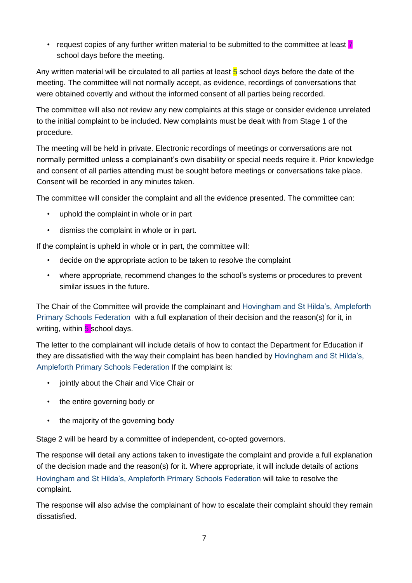• request copies of any further written material to be submitted to the committee at least  $\bar{z}$ school days before the meeting.

Any written material will be circulated to all parties at least  $5$  school days before the date of the meeting. The committee will not normally accept, as evidence, recordings of conversations that were obtained covertly and without the informed consent of all parties being recorded.

The committee will also not review any new complaints at this stage or consider evidence unrelated to the initial complaint to be included. New complaints must be dealt with from Stage 1 of the procedure.

The meeting will be held in private. Electronic recordings of meetings or conversations are not normally permitted unless a complainant's own disability or special needs require it. Prior knowledge and consent of all parties attending must be sought before meetings or conversations take place. Consent will be recorded in any minutes taken.

The committee will consider the complaint and all the evidence presented. The committee can:

- uphold the complaint in whole or in part
- dismiss the complaint in whole or in part.

If the complaint is upheld in whole or in part, the committee will:

- decide on the appropriate action to be taken to resolve the complaint
- where appropriate, recommend changes to the school's systems or procedures to prevent similar issues in the future.

The Chair of the Committee will provide the complainant and Hovingham and St Hilda's, Ampleforth Primary Schools Federation with a full explanation of their decision and the reason(s) for it, in writing, within  $5$  school days.

The letter to the complainant will include details of how to contact the Department for Education if they are dissatisfied with the way their complaint has been handled by Hovingham and St Hilda's, Ampleforth Primary Schools Federation If the complaint is:

- jointly about the Chair and Vice Chair or
- the entire governing body or
- the majority of the governing body

Stage 2 will be heard by a committee of independent, co-opted governors.

The response will detail any actions taken to investigate the complaint and provide a full explanation of the decision made and the reason(s) for it. Where appropriate, it will include details of actions Hovingham and St Hilda's, Ampleforth Primary Schools Federation will take to resolve the complaint.

The response will also advise the complainant of how to escalate their complaint should they remain dissatisfied.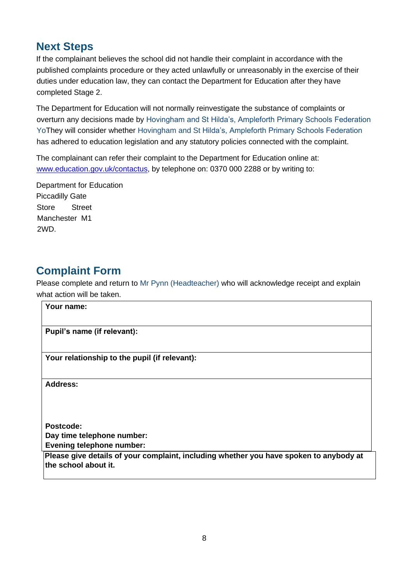## **Next Steps**

If the complainant believes the school did not handle their complaint in accordance with the published complaints procedure or they acted unlawfully or unreasonably in the exercise of their duties under education law, they can contact the Department for Education after they have completed Stage 2.

The Department for Education will not normally reinvestigate the substance of complaints or overturn any decisions made by Hovingham and St Hilda's, Ampleforth Primary Schools Federation YoThey will consider whether Hovingham and St Hilda's, Ampleforth Primary Schools Federation has adhered to education legislation and any statutory policies connected with the complaint.

The complainant can refer their complaint to the Department for Education online at: [www.education.gov.uk/contactus,](http://www.education.gov.uk/contactus) by telephone on: 0370 000 2288 or by writing to:

Department for Education Piccadilly Gate Store Street Manchester M1 2WD.

# **Complaint Form**

Please complete and return to Mr Pynn (Headteacher) who will acknowledge receipt and explain what action will be taken.

| Your name:                                                                                                     |  |
|----------------------------------------------------------------------------------------------------------------|--|
| Pupil's name (if relevant):                                                                                    |  |
| Your relationship to the pupil (if relevant):                                                                  |  |
| <b>Address:</b>                                                                                                |  |
| Postcode:                                                                                                      |  |
| Day time telephone number:<br><b>Evening telephone number:</b>                                                 |  |
| Please give details of your complaint, including whether you have spoken to anybody at<br>the school about it. |  |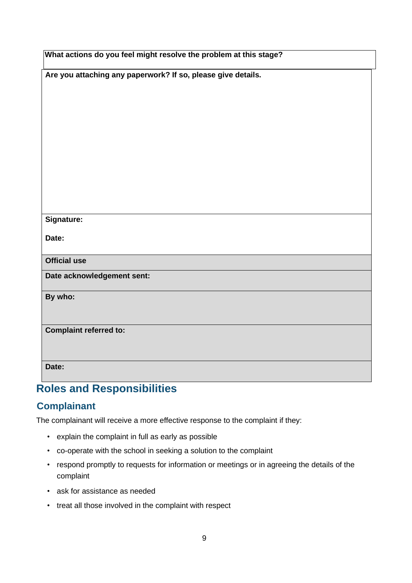| What actions do you feel might resolve the problem at this stage? |  |  |
|-------------------------------------------------------------------|--|--|
| Are you attaching any paperwork? If so, please give details.      |  |  |
|                                                                   |  |  |
|                                                                   |  |  |
|                                                                   |  |  |
|                                                                   |  |  |
|                                                                   |  |  |
|                                                                   |  |  |
|                                                                   |  |  |
| Signature:                                                        |  |  |
| Date:                                                             |  |  |
| <b>Official use</b>                                               |  |  |
| Date acknowledgement sent:                                        |  |  |
| By who:                                                           |  |  |
|                                                                   |  |  |
| <b>Complaint referred to:</b>                                     |  |  |
|                                                                   |  |  |
| Date:                                                             |  |  |

# **Roles and Responsibilities**

## **Complainant**

The complainant will receive a more effective response to the complaint if they:

- explain the complaint in full as early as possible
- co-operate with the school in seeking a solution to the complaint
- respond promptly to requests for information or meetings or in agreeing the details of the complaint
- ask for assistance as needed
- treat all those involved in the complaint with respect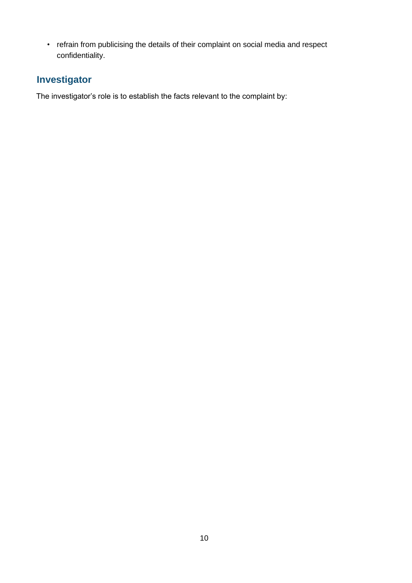• refrain from publicising the details of their complaint on social media and respect confidentiality.

# **Investigator**

The investigator's role is to establish the facts relevant to the complaint by: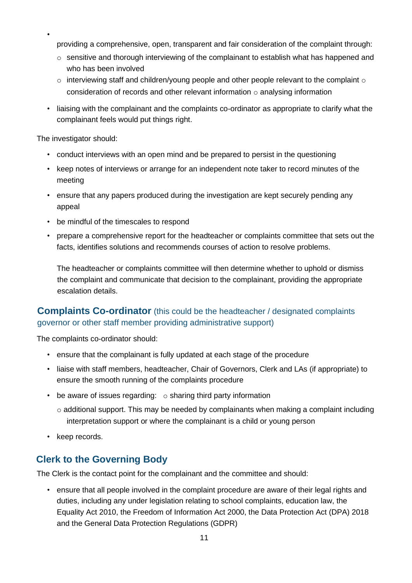- providing a comprehensive, open, transparent and fair consideration of the complaint through:
- $\circ$  sensitive and thorough interviewing of the complainant to establish what has happened and who has been involved
- $\circ$  interviewing staff and children/young people and other people relevant to the complaint  $\circ$ consideration of records and other relevant information  $\circ$  analysing information
- liaising with the complainant and the complaints co-ordinator as appropriate to clarify what the complainant feels would put things right.

The investigator should:

•

- conduct interviews with an open mind and be prepared to persist in the questioning
- keep notes of interviews or arrange for an independent note taker to record minutes of the meeting
- ensure that any papers produced during the investigation are kept securely pending any appeal
- be mindful of the timescales to respond
- prepare a comprehensive report for the headteacher or complaints committee that sets out the facts, identifies solutions and recommends courses of action to resolve problems.

The headteacher or complaints committee will then determine whether to uphold or dismiss the complaint and communicate that decision to the complainant, providing the appropriate escalation details.

#### **Complaints Co-ordinator** (this could be the headteacher / designated complaints governor or other staff member providing administrative support)

The complaints co-ordinator should:

- ensure that the complainant is fully updated at each stage of the procedure
- liaise with staff members, headteacher, Chair of Governors, Clerk and LAs (if appropriate) to ensure the smooth running of the complaints procedure
- be aware of issues regarding:  $\circ$  sharing third party information
	- $\circ$  additional support. This may be needed by complainants when making a complaint including interpretation support or where the complainant is a child or young person
- keep records.

#### **Clerk to the Governing Body**

The Clerk is the contact point for the complainant and the committee and should:

• ensure that all people involved in the complaint procedure are aware of their legal rights and duties, including any under legislation relating to school complaints, education law, the Equality Act 2010, the Freedom of Information Act 2000, the Data Protection Act (DPA) 2018 and the General Data Protection Regulations (GDPR)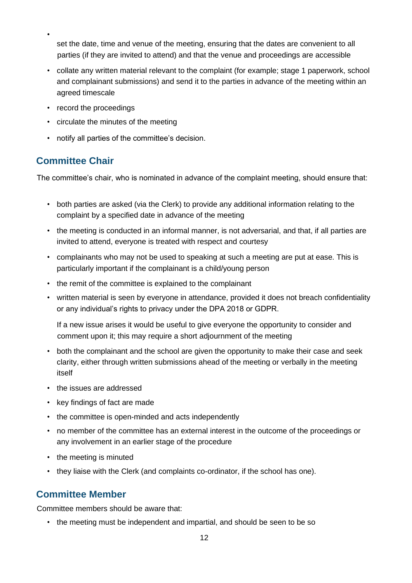• set the date, time and venue of the meeting, ensuring that the dates are convenient to all parties (if they are invited to attend) and that the venue and proceedings are accessible

- collate any written material relevant to the complaint (for example; stage 1 paperwork, school and complainant submissions) and send it to the parties in advance of the meeting within an agreed timescale
- record the proceedings
- circulate the minutes of the meeting
- notify all parties of the committee's decision.

### **Committee Chair**

The committee's chair, who is nominated in advance of the complaint meeting, should ensure that:

- both parties are asked (via the Clerk) to provide any additional information relating to the complaint by a specified date in advance of the meeting
- the meeting is conducted in an informal manner, is not adversarial, and that, if all parties are invited to attend, everyone is treated with respect and courtesy
- complainants who may not be used to speaking at such a meeting are put at ease. This is particularly important if the complainant is a child/young person
- the remit of the committee is explained to the complainant
- written material is seen by everyone in attendance, provided it does not breach confidentiality or any individual's rights to privacy under the DPA 2018 or GDPR.

If a new issue arises it would be useful to give everyone the opportunity to consider and comment upon it; this may require a short adjournment of the meeting

- both the complainant and the school are given the opportunity to make their case and seek clarity, either through written submissions ahead of the meeting or verbally in the meeting itself
- the issues are addressed
- key findings of fact are made
- the committee is open-minded and acts independently
- no member of the committee has an external interest in the outcome of the proceedings or any involvement in an earlier stage of the procedure
- the meeting is minuted
- they liaise with the Clerk (and complaints co-ordinator, if the school has one).

#### **Committee Member**

Committee members should be aware that:

• the meeting must be independent and impartial, and should be seen to be so